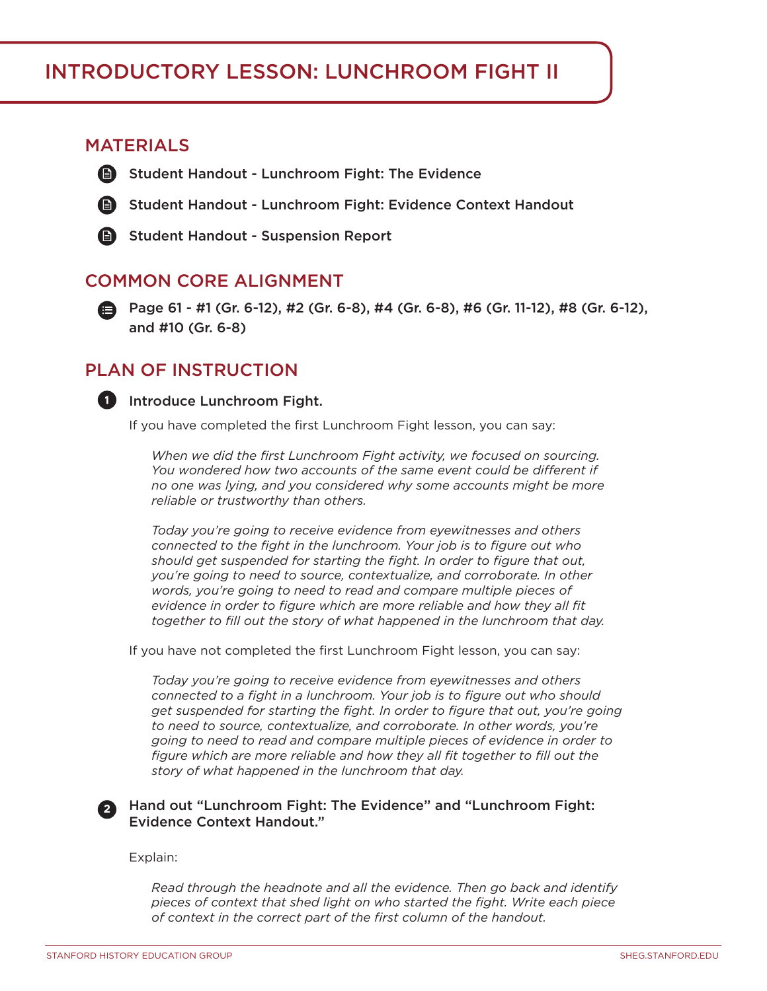## Introductory Lesson: lunchroom fight II

## **MATERIALS**

- **Student Handout Lunchroom Fight: The Evidence** 
	- Student Handout Lunchroom Fight: Evidence Context Handout



**Student Handout - Suspension Report** 

## Common core alignment

Page 61 - #1 (Gr. 6-12), #2 (Gr. 6-8), #4 (Gr. 6-8), #6 (Gr. 11-12), #8 (Gr. 6-12), and #10 (Gr. 6-8)

## Plan of Instruction



### **Introduce Lunchroom Fight.**

If you have completed the first Lunchroom Fight lesson, you can say:

*When we did the first Lunchroom Fight activity, we focused on sourcing.*  You wondered how two accounts of the same event could be different if *no one was lying, and you considered why some accounts might be more reliable or trustworthy than others.*

*Today you're going to receive evidence from eyewitnesses and others connected to the fight in the lunchroom. Your job is to figure out who should get suspended for starting the fight. In order to figure that out, you're going to need to source, contextualize, and corroborate. In other words, you're going to need to read and compare multiple pieces of evidence in order to figure which are more reliable and how they all fit together to fill out the story of what happened in the lunchroom that day.*

If you have not completed the first Lunchroom Fight lesson, you can say:

*Today you're going to receive evidence from eyewitnesses and others connected to a fight in a lunchroom. Your job is to figure out who should get suspended for starting the fight. In order to figure that out, you're going to need to source, contextualize, and corroborate. In other words, you're going to need to read and compare multiple pieces of evidence in order to figure which are more reliable and how they all fit together to fill out the story of what happened in the lunchroom that day.*

#### **<sup>2</sup>** Hand out "Lunchroom Fight: The Evidence" and "Lunchroom Fight: Evidence Context Handout."

Explain:

*Read through the headnote and all the evidence. Then go back and identify pieces of context that shed light on who started the fight. Write each piece of context in the correct part of the first column of the handout.*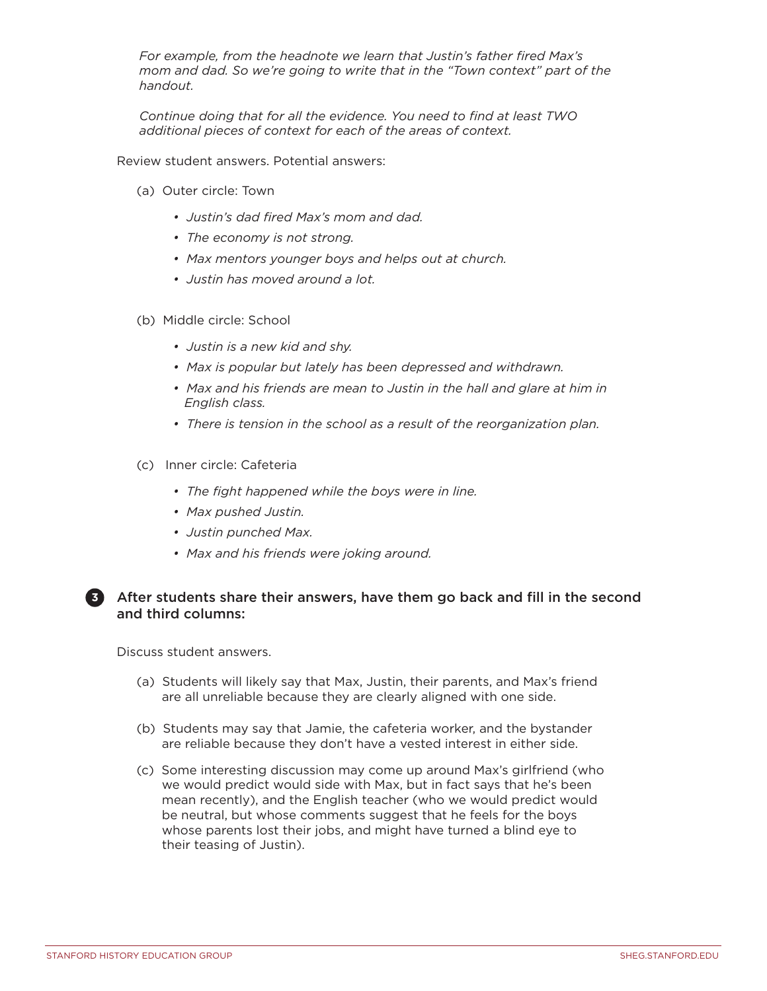*For example, from the headnote we learn that Justin's father fired Max's mom and dad. So we're going to write that in the "Town context" part of the handout.* 

*Continue doing that for all the evidence. You need to find at least TWO additional pieces of context for each of the areas of context.* 

Review student answers. Potential answers:

- (a) Outer circle: Town
	- *Justin's dad fired Max's mom and dad.*
	- *The economy is not strong.*
	- *Max mentors younger boys and helps out at church.*
	- *Justin has moved around a lot.*
- (b) Middle circle: School
	- *Justin is a new kid and shy.*
	- *Max is popular but lately has been depressed and withdrawn.*
	- **Max and his friends are mean to Justin in the hall and glare at him in** *English class.*
	- *There is tension in the school as a result of the reorganization plan.*
- (c) Inner circle: Cafeteria
	- *The fight happened while the boys were in line.*
	- *Max pushed Justin.*
	- *Justin punched Max.*
	- *Max and his friends were joking around.*

#### **3** After students share their answers, have them go back and fill in the second and third columns:

Discuss student answers.

- (a) Students will likely say that Max, Justin, their parents, and Max's friend are all unreliable because they are clearly aligned with one side.
- (b) Students may say that Jamie, the cafeteria worker, and the bystander are reliable because they don't have a vested interest in either side.
- (c) Some interesting discussion may come up around Max's girlfriend (who we would predict would side with Max, but in fact says that he's been mean recently), and the English teacher (who we would predict would be neutral, but whose comments suggest that he feels for the boys whose parents lost their jobs, and might have turned a blind eye to their teasing of Justin).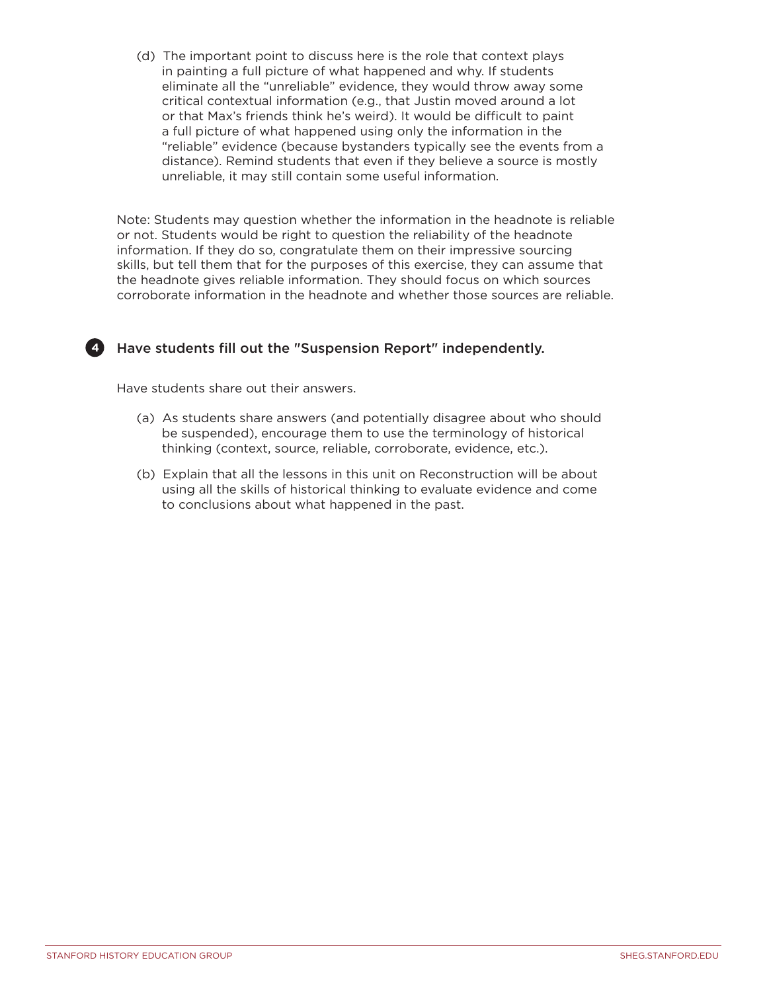(d) The important point to discuss here is the role that context plays in painting a full picture of what happened and why. If students eliminate all the "unreliable" evidence, they would throw away some critical contextual information (e.g., that Justin moved around a lot or that Max's friends think he's weird). It would be difficult to paint a full picture of what happened using only the information in the "reliable" evidence (because bystanders typically see the events from a distance). Remind students that even if they believe a source is mostly unreliable, it may still contain some useful information.

Note: Students may question whether the information in the headnote is reliable or not. Students would be right to question the reliability of the headnote information. If they do so, congratulate them on their impressive sourcing skills, but tell them that for the purposes of this exercise, they can assume that the headnote gives reliable information. They should focus on which sources corroborate information in the headnote and whether those sources are reliable.

## **4** Have students fill out the "Suspension Report" independently.

Have students share out their answers.

- (a) As students share answers (and potentially disagree about who should be suspended), encourage them to use the terminology of historical thinking (context, source, reliable, corroborate, evidence, etc.).
- (b) Explain that all the lessons in this unit on Reconstruction will be about using all the skills of historical thinking to evaluate evidence and come to conclusions about what happened in the past.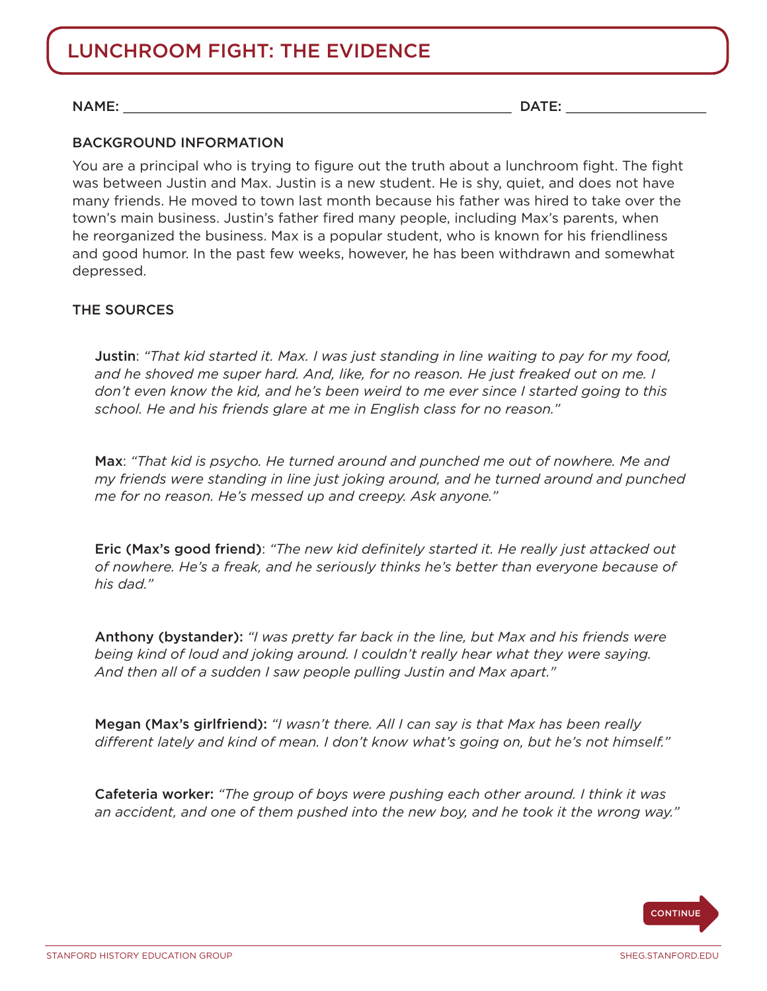# lunchroom fight: The evidence

NAME: \_\_\_\_\_\_\_\_\_\_\_\_\_\_\_\_\_\_\_\_\_\_\_\_\_\_\_\_\_\_\_\_\_\_\_\_\_\_\_\_\_\_\_\_\_\_\_ DATE: \_\_\_\_\_\_\_\_\_\_\_\_\_\_\_\_\_

### BACKGROUND INFORMATION

You are a principal who is trying to figure out the truth about a lunchroom fight. The fight was between Justin and Max. Justin is a new student. He is shy, quiet, and does not have many friends. He moved to town last month because his father was hired to take over the town's main business. Justin's father fired many people, including Max's parents, when he reorganized the business. Max is a popular student, who is known for his friendliness and good humor. In the past few weeks, however, he has been withdrawn and somewhat depressed.

### The sources

Justin: *"That kid started it. Max. I was just standing in line waiting to pay for my food, and he shoved me super hard. And, like, for no reason. He just freaked out on me. I don't even know the kid, and he's been weird to me ever since I started going to this school. He and his friends glare at me in English class for no reason."* 

Max: *"That kid is psycho. He turned around and punched me out of nowhere. Me and my friends were standing in line just joking around, and he turned around and punched me for no reason. He's messed up and creepy. Ask anyone."*

Eric (Max's good friend): *"The new kid definitely started it. He really just attacked out of nowhere. He's a freak, and he seriously thinks he's better than everyone because of his dad."*

Anthony (bystander): *"I was pretty far back in the line, but Max and his friends were being kind of loud and joking around. I couldn't really hear what they were saying. And then all of a sudden I saw people pulling Justin and Max apart."*

Megan (Max's girlfriend): *"I wasn't there. All I can say is that Max has been really different lately and kind of mean. I don't know what's going on, but he's not himself."*

Cafeteria worker: *"The group of boys were pushing each other around. I think it was an accident, and one of them pushed into the new boy, and he took it the wrong way."*

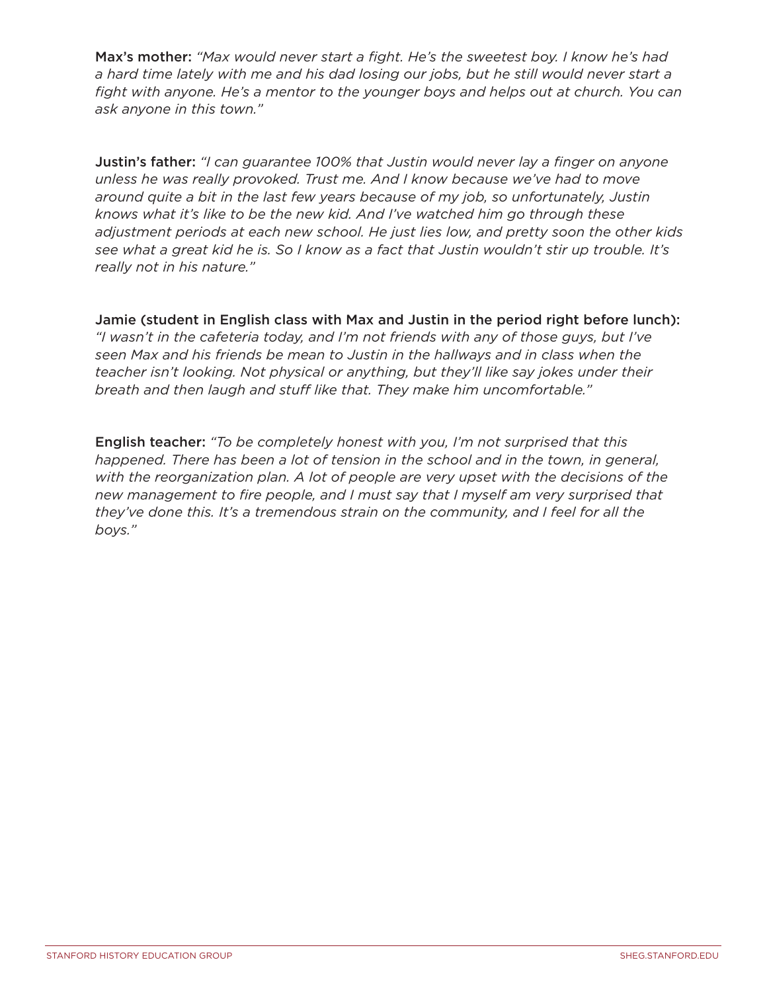Max's mother: *"Max would never start a fight. He's the sweetest boy. I know he's had a hard time lately with me and his dad losing our jobs, but he still would never start a fight with anyone. He's a mentor to the younger boys and helps out at church. You can ask anyone in this town."*

Justin's father: *"I can guarantee 100% that Justin would never lay a finger on anyone unless he was really provoked. Trust me. And I know because we've had to move around quite a bit in the last few years because of my job, so unfortunately, Justin knows what it's like to be the new kid. And I've watched him go through these adjustment periods at each new school. He just lies low, and pretty soon the other kids see what a great kid he is. So I know as a fact that Justin wouldn't stir up trouble. It's really not in his nature."*

Jamie (student in English class with Max and Justin in the period right before lunch): *"I wasn't in the cafeteria today, and I'm not friends with any of those guys, but I've seen Max and his friends be mean to Justin in the hallways and in class when the teacher isn't looking. Not physical or anything, but they'll like say jokes under their breath and then laugh and stuff like that. They make him uncomfortable."*

English teacher: *"To be completely honest with you, I'm not surprised that this happened. There has been a lot of tension in the school and in the town, in general, with the reorganization plan. A lot of people are very upset with the decisions of the new management to fire people, and I must say that I myself am very surprised that they've done this. It's a tremendous strain on the community, and I feel for all the boys."*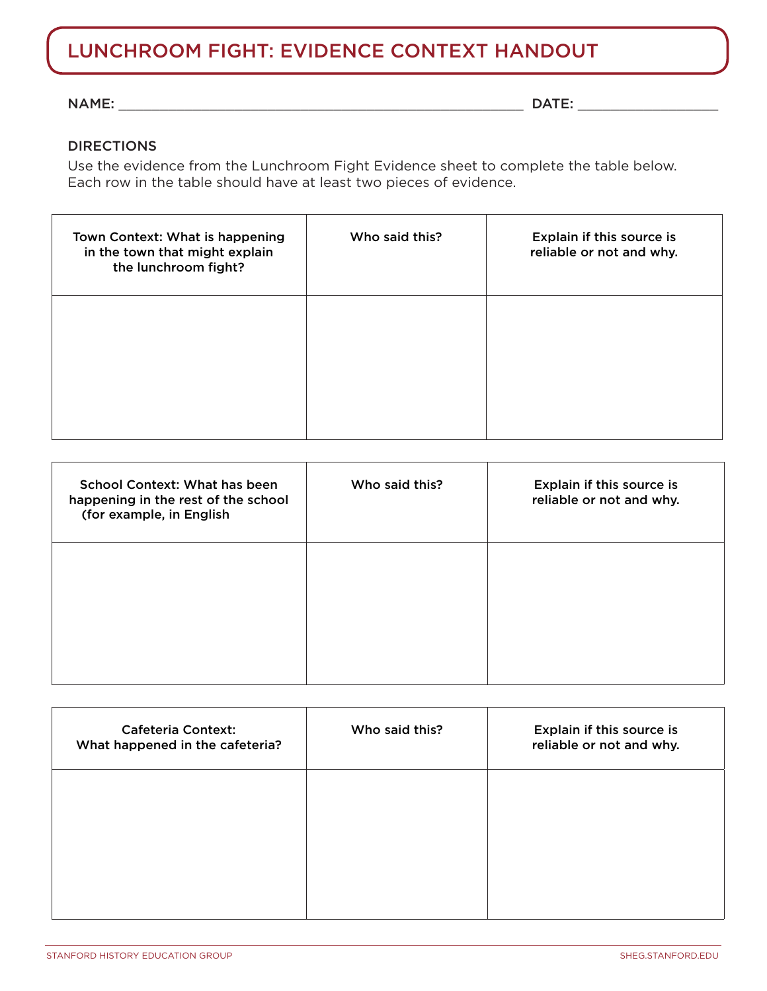# lunchroom fight: Evidence context Handout

#### $NAME:$

#### DIRECTIONS

Use the evidence from the Lunchroom Fight Evidence sheet to complete the table below. Each row in the table should have at least two pieces of evidence.

| Town Context: What is happening<br>in the town that might explain<br>the lunchroom fight? | Who said this? | Explain if this source is<br>reliable or not and why. |
|-------------------------------------------------------------------------------------------|----------------|-------------------------------------------------------|
|                                                                                           |                |                                                       |
|                                                                                           |                |                                                       |

| School Context: What has been<br>happening in the rest of the school<br>(for example, in English | Who said this? | Explain if this source is<br>reliable or not and why. |
|--------------------------------------------------------------------------------------------------|----------------|-------------------------------------------------------|
|                                                                                                  |                |                                                       |
|                                                                                                  |                |                                                       |

| <b>Cafeteria Context:</b><br>What happened in the cafeteria? | Who said this? | Explain if this source is<br>reliable or not and why. |
|--------------------------------------------------------------|----------------|-------------------------------------------------------|
|                                                              |                |                                                       |
|                                                              |                |                                                       |
|                                                              |                |                                                       |